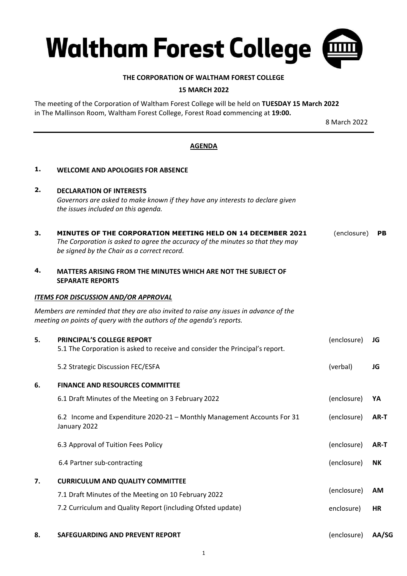

## **THE CORPORATION OF WALTHAM FOREST COLLEGE**

## **15 MARCH 2022**

The meeting of the Corporation of Waltham Forest College will be held on **TUESDAY 15 March 2022** in The Mallinson Room, Waltham Forest College, Forest Road **c**ommencing at **19:00.**

8 March 2022

## **AGENDA**

| <b>WELCOME AND APOLOGIES FOR ABSENCE</b>                                                                                                                                                     |             |      |
|----------------------------------------------------------------------------------------------------------------------------------------------------------------------------------------------|-------------|------|
| <b>DECLARATION OF INTERESTS</b><br>Governors are asked to make known if they have any interests to declare given<br>the issues included on this agenda.                                      |             |      |
| MINUTES OF THE CORPORATION MEETING HELD ON 14 DECEMBER 2021<br>The Corporation is asked to agree the accuracy of the minutes so that they may<br>be signed by the Chair as a correct record. | (enclosure) | PB.  |
| MATTERS ARISING FROM THE MINUTES WHICH ARE NOT THE SUBJECT OF<br><b>SEPARATE REPORTS</b>                                                                                                     |             |      |
| <b>ITEMS FOR DISCUSSION AND/OR APPROVAL</b>                                                                                                                                                  |             |      |
| Members are reminded that they are also invited to raise any issues in advance of the<br>meeting on points of query with the authors of the agenda's reports.                                |             |      |
| <b>PRINCIPAL'S COLLEGE REPORT</b><br>5.1 The Corporation is asked to receive and consider the Principal's report.                                                                            | (enclosure) | JG   |
| 5.2 Strategic Discussion FEC/ESFA                                                                                                                                                            | (verbal)    | JG   |
| <b>FINANCE AND RESOURCES COMMITTEE</b>                                                                                                                                                       |             |      |
| 6.1 Draft Minutes of the Meeting on 3 February 2022                                                                                                                                          | (enclosure) | YA   |
| 6.2 Income and Expenditure 2020-21 - Monthly Management Accounts For 31<br>January 2022                                                                                                      | (enclosure) | AR-T |
| 6.3 Approval of Tuition Fees Policy                                                                                                                                                          | (enclosure) | AR-T |
| 6.4 Partner sub-contracting                                                                                                                                                                  | (enclosure) | NK.  |
| <b>CURRICULUM AND QUALITY COMMITTEE</b>                                                                                                                                                      |             |      |
| 7.1 Draft Minutes of the Meeting on 10 February 2022                                                                                                                                         | (enclosure) | AM   |
| 7.2 Curriculum and Quality Report (including Ofsted update)                                                                                                                                  | enclosure)  | HR   |
|                                                                                                                                                                                              |             |      |

1

**8. SAFEGUARDING AND PREVENT REPORT** (enclosure) **AA/SG**